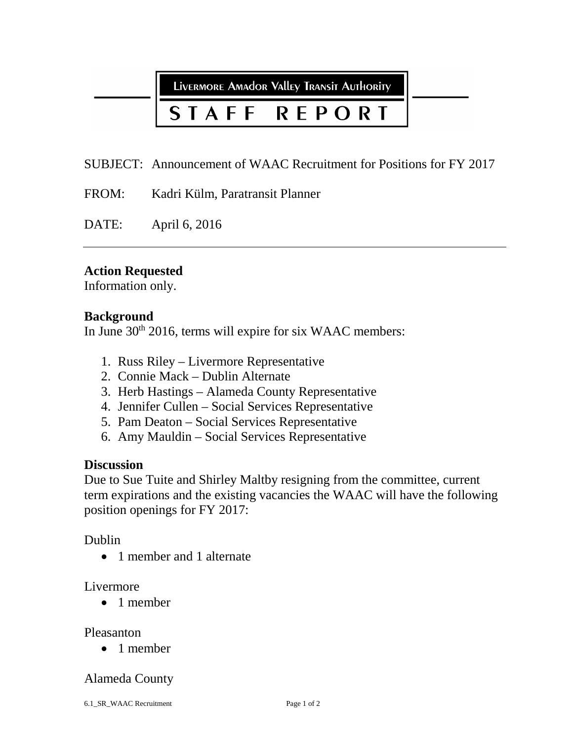LIVERMORE AMAdor Valley Transit Authority

#### **REPORT** STAFF

SUBJECT: Announcement of WAAC Recruitment for Positions for FY 2017

FROM: Kadri Külm, Paratransit Planner

DATE: April 6, 2016

### **Action Requested**

Information only.

### **Background**

In June 30<sup>th</sup> 2016, terms will expire for six WAAC members:

- 1. Russ Riley Livermore Representative
- 2. Connie Mack Dublin Alternate
- 3. Herb Hastings Alameda County Representative
- 4. Jennifer Cullen Social Services Representative
- 5. Pam Deaton Social Services Representative
- 6. Amy Mauldin Social Services Representative

### **Discussion**

Due to Sue Tuite and Shirley Maltby resigning from the committee, current term expirations and the existing vacancies the WAAC will have the following position openings for FY 2017:

### Dublin

• 1 member and 1 alternate

### Livermore

• 1 member

### Pleasanton

• 1 member

### Alameda County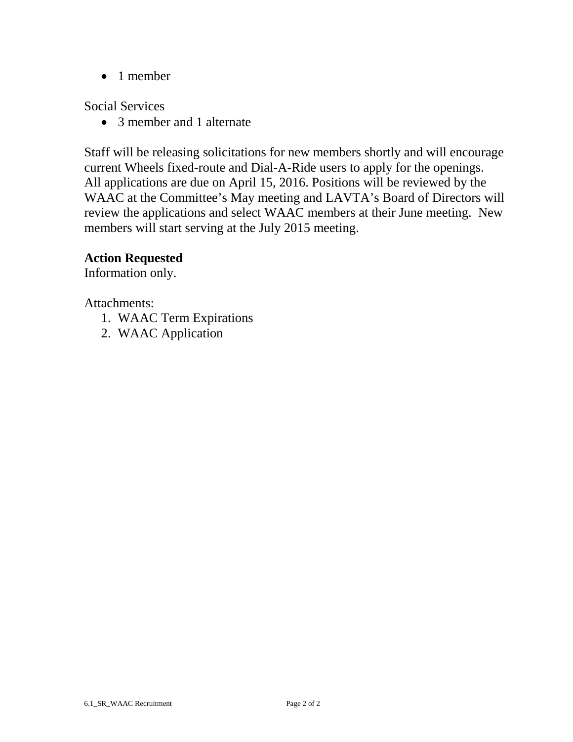• 1 member

Social Services

• 3 member and 1 alternate

Staff will be releasing solicitations for new members shortly and will encourage current Wheels fixed-route and Dial-A-Ride users to apply for the openings. All applications are due on April 15, 2016. Positions will be reviewed by the WAAC at the Committee's May meeting and LAVTA's Board of Directors will review the applications and select WAAC members at their June meeting. New members will start serving at the July 2015 meeting.

# **Action Requested**

Information only.

Attachments:

- 1. WAAC Term Expirations
- 2. WAAC Application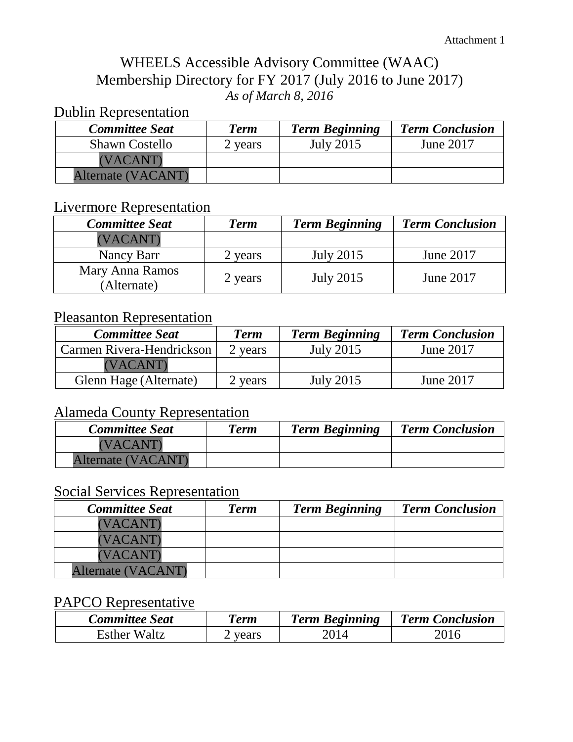# WHEELS Accessible Advisory Committee (WAAC) Membership Directory for FY 2017 (July 2016 to June 2017) *As of March 8, 2016*

# Dublin Representation

| <b>Committee Seat</b> | <b>Term</b> | <b>Term Beginning</b> | <b>Term Conclusion</b> |
|-----------------------|-------------|-----------------------|------------------------|
| <b>Shawn Costello</b> | 2 years     | July 2015             | June 2017              |
| (VACANT)              |             |                       |                        |
| Alternate (VACANT)    |             |                       |                        |

# Livermore Representation

| <b>Committee Seat</b>          | <b>Term</b> | <b>Term Beginning</b> | <b>Term Conclusion</b> |
|--------------------------------|-------------|-----------------------|------------------------|
| (VACANT)                       |             |                       |                        |
| Nancy Barr                     | 2 years     | July 2015             | June 2017              |
| Mary Anna Ramos<br>(Alternate) | 2 years     | <b>July 2015</b>      | June 2017              |

# Pleasanton Representation

| <b>Committee Seat</b>     | <b>Term</b> | <b>Term Beginning</b> | <b>Term Conclusion</b> |
|---------------------------|-------------|-----------------------|------------------------|
| Carmen Rivera-Hendrickson | 2 years     | July 2015             | June 2017              |
| 'VACANT)                  |             |                       |                        |
| Glenn Hage (Alternate)    | 2 years     | July 2015             | June 2017              |

# Alameda County Representation

| <b>Committee Seat</b> | <b>Term</b> | <b>Term Beginning</b> | <b>Term Conclusion</b> |
|-----------------------|-------------|-----------------------|------------------------|
| (VACANT)              |             |                       |                        |
| Alternate (VACANT)    |             |                       |                        |

# Social Services Representation

| <b>Committee Seat</b>     | <b>Term</b> | <b>Term Beginning</b> | <b>Term Conclusion</b> |
|---------------------------|-------------|-----------------------|------------------------|
| (VACANT)                  |             |                       |                        |
| (VACANT)                  |             |                       |                        |
| (VACANT)                  |             |                       |                        |
| <b>Alternate (VACANT)</b> |             |                       |                        |

# PAPCO Representative

| <b>Committee Seat</b> | <b>Term</b> | <b>Term Beginning</b> | <b>Term Conclusion</b> |
|-----------------------|-------------|-----------------------|------------------------|
| <b>Esther Waltz</b>   | years       | 2014                  |                        |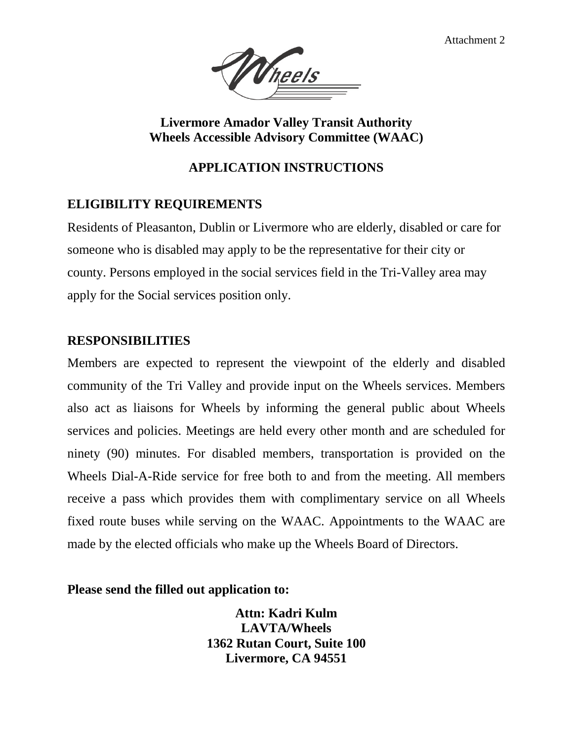Attachment 2



**Livermore Amador Valley Transit Authority Wheels Accessible Advisory Committee (WAAC)** 

### **APPLICATION INSTRUCTIONS**

# **ELIGIBILITY REQUIREMENTS**

Residents of Pleasanton, Dublin or Livermore who are elderly, disabled or care for someone who is disabled may apply to be the representative for their city or county. Persons employed in the social services field in the Tri-Valley area may apply for the Social services position only.

### **RESPONSIBILITIES**

Members are expected to represent the viewpoint of the elderly and disabled community of the Tri Valley and provide input on the Wheels services. Members also act as liaisons for Wheels by informing the general public about Wheels services and policies. Meetings are held every other month and are scheduled for ninety (90) minutes. For disabled members, transportation is provided on the Wheels Dial-A-Ride service for free both to and from the meeting. All members receive a pass which provides them with complimentary service on all Wheels fixed route buses while serving on the WAAC. Appointments to the WAAC are made by the elected officials who make up the Wheels Board of Directors.

### **Please send the filled out application to:**

**Attn: Kadri Kulm LAVTA/Wheels 1362 Rutan Court, Suite 100 Livermore, CA 94551**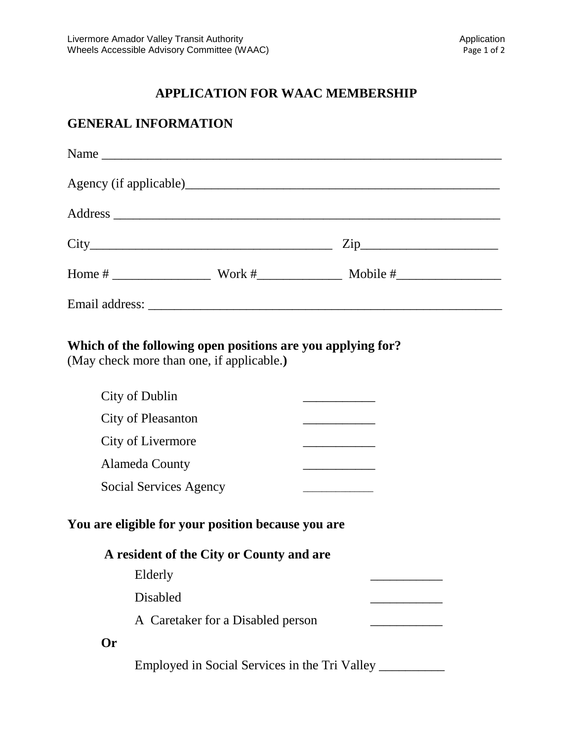# **APPLICATION FOR WAAC MEMBERSHIP**

# **GENERAL INFORMATION**

|  | $\mathsf{Zip}\_$ |  |
|--|------------------|--|
|  |                  |  |
|  |                  |  |

# **Which of the following open positions are you applying for?**

(May check more than one, if applicable.**)**

|                                                                                                | City of Dublin                                |  |  |  |
|------------------------------------------------------------------------------------------------|-----------------------------------------------|--|--|--|
|                                                                                                | <b>City of Pleasanton</b>                     |  |  |  |
|                                                                                                | City of Livermore                             |  |  |  |
|                                                                                                | Alameda County                                |  |  |  |
|                                                                                                | Social Services Agency                        |  |  |  |
| You are eligible for your position because you are<br>A resident of the City or County and are |                                               |  |  |  |
|                                                                                                | Elderly                                       |  |  |  |
|                                                                                                | Disabled                                      |  |  |  |
|                                                                                                | A Caretaker for a Disabled person             |  |  |  |
| Or                                                                                             |                                               |  |  |  |
|                                                                                                | Employed in Social Services in the Tri Valley |  |  |  |